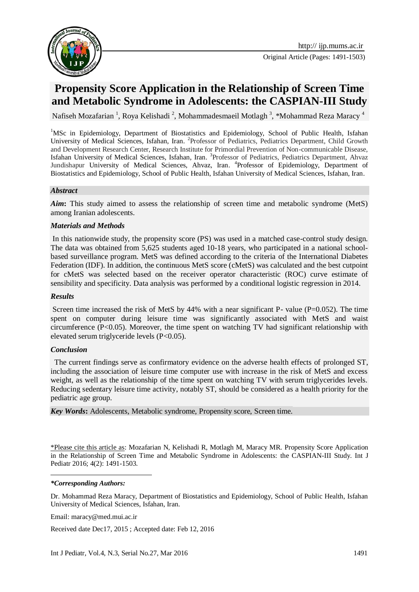

# **Propensity Score Application in the Relationship of Screen Time and Metabolic Syndrome in Adolescents: the CASPIAN-III Study**

Nafiseh Mozafarian <sup>1</sup>, Roya Kelishadi <sup>2</sup>, Mohammadesmaeil Motlagh <sup>3</sup>, \*Mohammad Reza Maracy <sup>4</sup>

<sup>1</sup>MSc in Epidemiology, Department of Biostatistics and Epidemiology, School of Public Health, Isfahan University of Medical Sciences, Isfahan, Iran. <sup>2</sup>Professor of Pediatrics, Pediatrics Department, Child Growth and Development Research Center, Research Institute for Primordial Prevention of Non-communicable Disease, Isfahan University of Medical Sciences, Isfahan, Iran. <sup>3</sup>Professor of Pediatrics, Pediatrics Department, Ahvaz Jundishapur University of Medical Sciences, Ahvaz, Iran. <sup>4</sup>Professor of Epidemiology, Department of Biostatistics and Epidemiology, School of Public Health, Isfahan University of Medical Sciences, Isfahan, Iran.

#### *Abstract*

*Aim***:** This study aimed to assess the relationship of screen time and metabolic syndrome (MetS) among Iranian adolescents.

#### *Materials and Methods*

In this nationwide study, the propensity score (PS) was used in a matched case-control study design. The data was obtained from 5,625 students aged 10-18 years, who participated in a national schoolbased surveillance program. MetS was defined according to the criteria of the International Diabetes Federation (IDF). In addition, the continuous MetS score (cMetS) was calculated and the best cutpoint for cMetS was selected based on the receiver operator characteristic (ROC) curve estimate of sensibility and specificity. Data analysis was performed by a conditional logistic regression in 2014.

#### *Results*

Screen time increased the risk of MetS by 44% with a near significant P- value ( $P=0.052$ ). The time spent on computer during leisure time was significantly associated with MetS and waist circumference  $(P<0.05)$ . Moreover, the time spent on watching TV had significant relationship with elevated serum triglyceride levels (P<0.05).

#### *Conclusion*

The current findings serve as confirmatory evidence on the adverse health effects of prolonged ST, including the association of leisure time computer use with increase in the risk of MetS and excess weight, as well as the relationship of the time spent on watching TV with serum triglycerides levels. Reducing sedentary leisure time activity, notably ST, should be considered as a health priority for the pediatric age group.

*Key Words***:** Adolescents, Metabolic syndrome, Propensity score, Screen time.

\*Please cite this article as: Mozafarian N, Kelishadi R, Motlagh M, Maracy MR. Propensity Score Application in the Relationship of Screen Time and Metabolic Syndrome in Adolescents: the CASPIAN-III Study. Int J Pediatr 2016; 4(2): 1491-1503.

#### *\*Corresponding Authors:*

**.** 

Dr. Mohammad Reza Maracy, Department of Biostatistics and Epidemiology, School of Public Health, Isfahan University of Medical Sciences, Isfahan, Iran.

Email: [maracy@med.mui.ac.ir](mailto:maracy@med.mui.ac.ir)

Received date Dec17, 2015 ; Accepted date: Feb 12, 2016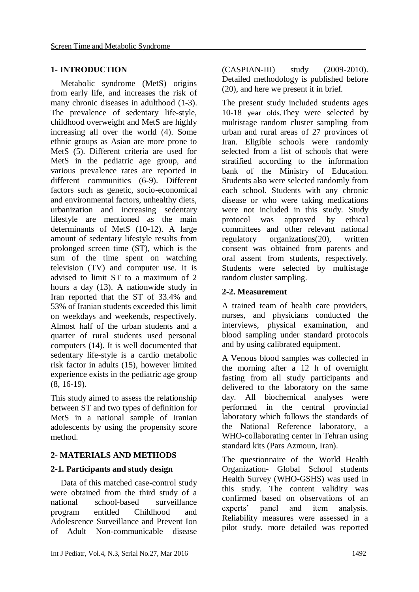# **1- INTRODUCTION**

Metabolic syndrome (MetS) origins from early life, and increases the risk of many chronic diseases in adulthood (1-3). The prevalence of sedentary life-style, childhood overweight and MetS are highly increasing all over the world (4). Some ethnic groups as Asian are more prone to MetS (5). Different criteria are used for MetS in the pediatric age group, and various prevalence rates are reported in different communities (6-9). Different factors such as genetic, socio-economical and environmental factors, unhealthy diets, urbanization and increasing sedentary lifestyle are mentioned as the main determinants of MetS (10-12). A large amount of sedentary lifestyle results from prolonged screen time (ST), which is the sum of the time spent on watching television (TV) and computer use. It is advised to limit ST to a maximum of 2 hours a day (13). A nationwide study in Iran reported that the ST of 33.4% and 53% of Iranian students exceeded this limit on weekdays and weekends, respectively. Almost half of the urban students and a quarter of rural students used personal computers (14). It is well documented that sedentary life-style is a cardio metabolic risk factor in adults (15), however limited experience exists in the pediatric age group (8, 16-19).

This study aimed to assess the relationship between ST and two types of definition for MetS in a national sample of Iranian adolescents by using the propensity score method.

### **2- MATERIALS AND METHODS**

### **2-1. Participants and study design**

Data of this matched case-control study were obtained from the third study of a national school-based surveillance program entitled Childhood and Adolescence Surveillance and Prevent Ion of Adult Non-communicable disease

(CASPIAN-III) study (2009-2010). Detailed methodology is published before (20), and here we present it in brief.

The present study included students ages 10-18 year olds.They were selected by multistage random cluster sampling from urban and rural areas of 27 provinces of Iran. Eligible schools were randomly selected from a list of schools that were stratified according to the information bank of the Ministry of Education. Students also were selected randomly from each school. Students with any chronic disease or who were taking medications were not included in this study. Study protocol was approved by ethical committees and other relevant national regulatory organizations(20), written consent was obtained from parents and oral assent from students, respectively. Students were selected by multistage random cluster sampling.

# **2-2. Measurement**

A trained team of health care providers, nurses, and physicians conducted the interviews, physical examination, and blood sampling under standard protocols and by using calibrated equipment.

A Venous blood samples was collected in the morning after a 12 h of overnight fasting from all study participants and delivered to the laboratory on the same day. All biochemical analyses were performed in the central provincial laboratory which follows the standards of the National Reference laboratory, a WHO-collaborating center in Tehran using standard kits (Pars Azmoun, Iran).

The questionnaire of the World Health Organization- Global School students Health Survey (WHO-GSHS) was used in this study. The content validity was confirmed based on observations of an experts' panel and item analysis. Reliability measures were assessed in a pilot study. more detailed was reported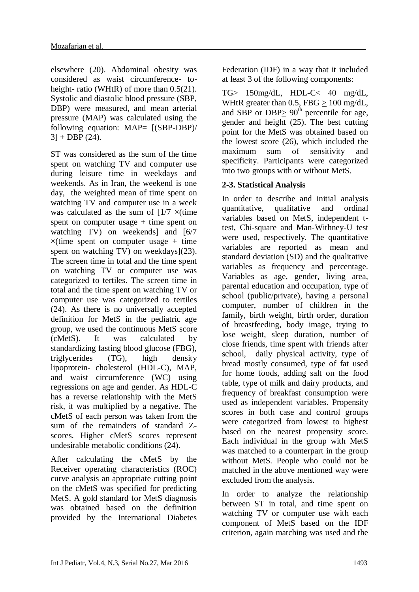elsewhere (20). Abdominal obesity was considered as waist circumference- toheight- ratio (WHtR) of more than  $0.5(21)$ . Systolic and diastolic blood pressure (SBP, DBP) were measured, and mean arterial pressure (MAP) was calculated using the following equation: MAP= [(SBP-DBP)/  $3] + DBP(24).$ 

ST was considered as the sum of the time spent on watching TV and computer use during leisure time in weekdays and weekends. As in Iran, the weekend is one day, the weighted mean of time spent on watching TV and computer use in a week was calculated as the sum of  $1/7 \times$ (time spent on computer usage  $+$  time spent on watching TV) on weekends] and [6/7  $\times$ (time spent on computer usage + time spent on watching TV) on weekdays](23). The screen time in total and the time spent on watching TV or computer use was categorized to tertiles. The screen time in total and the time spent on watching TV or computer use was categorized to tertiles (24). As there is no universally accepted definition for MetS in the pediatric age group, we used the continuous MetS score (cMetS). It was calculated by standardizing fasting blood glucose (FBG), triglycerides (TG), high density lipoprotein- cholesterol (HDL-C), MAP, and waist circumference (WC) using regressions on age and gender. As HDL-C has a reverse relationship with the MetS risk, it was multiplied by a negative. The cMetS of each person was taken from the sum of the remainders of standard Zscores. Higher cMetS scores represent undesirable metabolic conditions (24).

After calculating the cMetS by the Receiver operating characteristics (ROC) curve analysis an appropriate cutting point on the cMetS was specified for predicting MetS. A gold standard for MetS diagnosis was obtained based on the definition provided by the International Diabetes Federation (IDF) in a way that it included at least 3 of the following components:

TG> 150mg/dL, HDL-C< 40 mg/dL, WHtR greater than 0.5, FBG > 100 mg/dL, and SBP or DBP $\geq 90^{\text{th}}$  percentile for age, gender and height (25). The best cutting point for the MetS was obtained based on the lowest score (26), which included the maximum sum of sensitivity and specificity. Participants were categorized into two groups with or without MetS.

# **2-3. Statistical Analysis**

In order to describe and initial analysis quantitative, qualitative and ordinal variables based on MetS, independent ttest, Chi-square and Man-Withney-U test were used, respectively. The quantitative variables are reported as mean and standard deviation (SD) and the qualitative variables as frequency and percentage. Variables as age, gender, living area, parental education and occupation, type of school (public/private), having a personal computer, number of children in the family, birth weight, birth order, duration of breastfeeding, body image, trying to lose weight, sleep duration, number of close friends, time spent with friends after school, daily physical activity, type of bread mostly consumed, type of fat used for home foods, adding salt on the food table, type of milk and dairy products, and frequency of breakfast consumption were used as independent variables. Propensity scores in both case and control groups were categorized from lowest to highest based on the nearest propensity score. Each individual in the group with MetS was matched to a counterpart in the group without MetS. People who could not be matched in the above mentioned way were excluded from the analysis.

In order to analyze the relationship between ST in total, and time spent on watching TV or computer use with each component of MetS based on the IDF criterion, again matching was used and the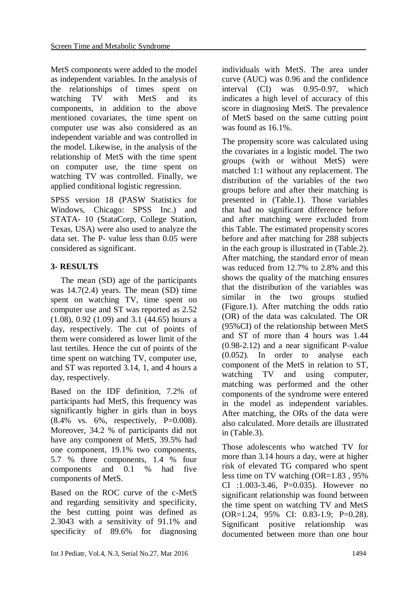MetS components were added to the model as independent variables. In the analysis of the relationships of times spent on watching TV with MetS and its components, in addition to the above mentioned covariates, the time spent on computer use was also considered as an independent variable and was controlled in the model. Likewise, in the analysis of the relationship of MetS with the time spent on computer use, the time spent on watching TV was controlled. Finally, we applied conditional logistic regression.

SPSS version 18 (PASW Statistics for Windows, Chicago: SPSS Inc.) and STATA- 10 (StataCorp, College Station, Texas, USA) were also used to analyze the data set. The P- value less than 0.05 were considered as significant.

# **3- RESULTS**

The mean (SD) age of the participants was  $14.7(2.4)$  years. The mean (SD) time spent on watching TV, time spent on computer use and ST was reported as 2.52 (1.08), 0.92 (1.09) and 3.1 (44.65) hours a day, respectively. The cut of points of them were considered as lower limit of the last tertiles. Hence the cut of points of the time spent on watching TV, computer use, and ST was reported 3.14, 1, and 4 hours a day, respectively.

Based on the IDF definition, 7.2% of participants had MetS, this frequency was significantly higher in girls than in boys  $(8.4\% \text{ vs. } 6\%, \text{ respectively. } P=0.008).$ Moreover, 34.2 % of participants did not have any component of MetS, 39.5% had one component, 19.1% two components, 5.7 % three components, 1.4 % four components and 0.1 % had five components of MetS.

Based on the ROC curve of the c-MetS and regarding sensitivity and specificity, the best cutting point was defined as 2.3043 with a sensitivity of 91.1% and specificity of 89.6% for diagnosing individuals with MetS. The area under curve (AUC) was 0.96 and the confidence interval (CI) was 0.95-0.97, which indicates a high level of accuracy of this score in diagnosing MetS. The prevalence of MetS based on the same cutting point was found as 16.1%.

The propensity score was calculated using the covariates in a logistic model. The two groups (with or without MetS) were matched 1:1 without any replacement. The distribution of the variables of the two groups before and after their matching is presented in (Table.1). Those variables that had no significant difference before and after matching were excluded from this Table. The estimated propensity scores before and after matching for 288 subjects in the each group is illustrated in (Table.2). After matching, the standard error of mean was reduced from 12.7% to 2.8% and this shows the quality of the matching ensures that the distribution of the variables was similar in the two groups studied (Figure.1). After matching the odds ratio (OR) of the data was calculated. The OR (95%CI) of the relationship between MetS and ST of more than 4 hours was 1.44 (0.98-2.12) and a near significant P-value (0.052). In order to analyse each component of the MetS in relation to ST, watching TV and using computer, matching was performed and the other components of the syndrome were entered in the model as independent variables. After matching, the ORs of the data were also calculated. More details are illustrated in (Table.3).

Those adolescents who watched TV for more than 3.14 hours a day, were at higher risk of elevated TG compared who spent less time on TV watching (OR=1.83 , 95% CI :1.003-3.46, P=0.035). However no significant relationship was found between the time spent on watching TV and MetS (OR=1.24, 95% CI: 0.83-1.9; P=0.28). Significant positive relationship was documented between more than one hour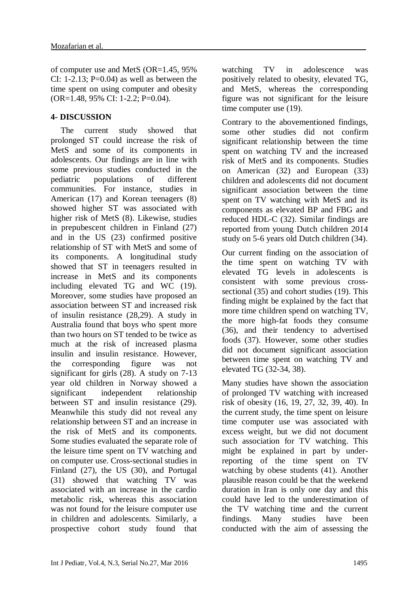of computer use and MetS (OR=1.45, 95% CI: 1-2.13;  $P=0.04$ ) as well as between the time spent on using computer and obesity (OR=1.48, 95% CI: 1-2.2; P=0.04).

#### **4- DISCUSSION**

The current study showed that prolonged ST could increase the risk of MetS and some of its components in adolescents. Our findings are in line with some previous studies conducted in the pediatric populations of different communities. For instance, studies in American (17) and Korean teenagers (8) showed higher ST was associated with higher risk of MetS (8). Likewise, studies in prepubescent children in Finland (27) and in the US (23) confirmed positive relationship of ST with MetS and some of its components. A longitudinal study showed that ST in teenagers resulted in increase in MetS and its components including elevated TG and WC (19). Moreover, some studies have proposed an association between ST and increased risk of insulin resistance (28,29). A study in Australia found that boys who spent more than two hours on ST tended to be twice as much at the risk of increased plasma insulin and insulin resistance. However, the corresponding figure was not significant for girls (28). A study on 7-13 year old children in Norway showed a significant independent relationship between ST and insulin resistance (29). Meanwhile this study did not reveal any relationship between ST and an increase in the risk of MetS and its components. Some studies evaluated the separate role of the leisure time spent on TV watching and on computer use. Cross-sectional studies in Finland (27), the US (30), and Portugal (31) showed that watching TV was associated with an increase in the cardio metabolic risk, whereas this association was not found for the leisure computer use in children and adolescents. Similarly, a prospective cohort study found that

watching TV in adolescence was positively related to obesity, elevated TG, and MetS, whereas the corresponding figure was not significant for the leisure time computer use (19).

Contrary to the abovementioned findings, some other studies did not confirm significant relationship between the time spent on watching TV and the increased risk of MetS and its components. Studies on American (32) and European (33) children and adolescents did not document significant association between the time spent on TV watching with MetS and its components as elevated BP and FBG and reduced HDL-C (32). Similar findings are reported from young Dutch children 2014 study on 5-6 years old Dutch children (34).

Our current finding on the association of the time spent on watching TV with elevated TG levels in adolescents is consistent with some previous crosssectional (35) and cohort studies (19). This finding might be explained by the fact that more time children spend on watching TV, the more high-fat foods they consume (36), and their tendency to advertised foods (37). However, some other studies did not document significant association between time spent on watching TV and elevated TG (32-34, 38).

Many studies have shown the association of prolonged TV watching with increased risk of obesity (16, 19, 27, 32, 39, 40). In the current study, the time spent on leisure time computer use was associated with excess weight, but we did not document such association for TV watching. This might be explained in part by underreporting of the time spent on TV watching by obese students (41). Another plausible reason could be that the weekend duration in Iran is only one day and this could have led to the underestimation of the TV watching time and the current findings. Many studies have been conducted with the aim of assessing the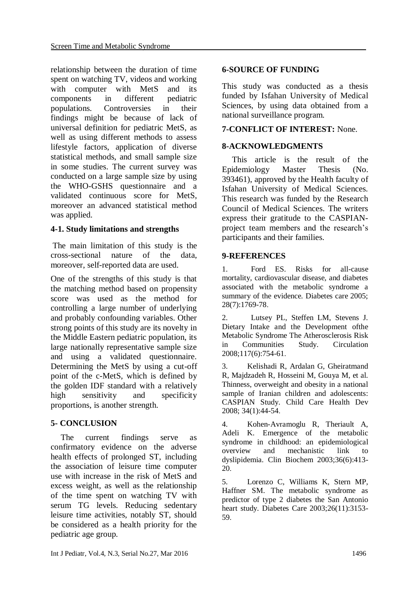relationship between the duration of time spent on watching TV, videos and working with computer with MetS and its components in different pediatric populations. Controversies in their findings might be because of lack of universal definition for pediatric MetS, as well as using different methods to assess lifestyle factors, application of diverse statistical methods, and small sample size in some studies. The current survey was conducted on a large sample size by using the WHO-GSHS questionnaire and a validated continuous score for MetS, moreover an advanced statistical method was applied.

# **4-1. Study limitations and strengths**

The main limitation of this study is the cross-sectional nature of the data, moreover, self-reported data are used.

One of the strengths of this study is that the matching method based on propensity score was used as the method for controlling a large number of underlying and probably confounding variables. Other strong points of this study are its novelty in the Middle Eastern pediatric population, its large nationally representative sample size and using a validated questionnaire. Determining the MetS by using a cut-off point of the c-MetS, which is defined by the golden IDF standard with a relatively high sensitivity and specificity proportions, is another strength.

# **5- CONCLUSION**

The current findings serve as confirmatory evidence on the adverse health effects of prolonged ST, including the association of leisure time computer use with increase in the risk of MetS and excess weight, as well as the relationship of the time spent on watching TV with serum TG levels. Reducing sedentary leisure time activities, notably ST, should be considered as a health priority for the pediatric age group.

# **6-SOURCE OF FUNDING**

This study was conducted as a thesis funded by Isfahan University of Medical Sciences, by using data obtained from a national surveillance program.

### **7-CONFLICT OF INTEREST:** None.

### **8-ACKNOWLEDGMENTS**

This article is the result of the Epidemiology Master Thesis (No. 393461), approved by the Health faculty of Isfahan University of Medical Sciences. This research was funded by the Research Council of Medical Sciences. The writers express their gratitude to the CASPIANproject team members and the research's participants and their families.

#### **9-REFERENCES**

1. Ford ES. Risks for all-cause mortality, cardiovascular disease, and diabetes associated with the metabolic syndrome a summary of the evidence. Diabetes care 2005; 28(7):1769-78.

2. Lutsey PL, Steffen LM, Stevens J. Dietary Intake and the Development ofthe Metabolic Syndrome The Atherosclerosis Risk in Communities Study. Circulation 2008;117(6):754-61.

3. Kelishadi R, Ardalan G, Gheiratmand R, Majdzadeh R, Hosseini M, Gouya M, et al. Thinness, overweight and obesity in a national sample of Iranian children and adolescents: CASPIAN Study. Child Care Health Dev 2008; 34(1):44-54.

4. Kohen-Avramoglu R, Theriault A, Adeli K. Emergence of the metabolic syndrome in childhood: an epidemiological overview and mechanistic link to dyslipidemia. Clin Biochem 2003;36(6):413- 20.

5. Lorenzo C, Williams K, Stern MP, Haffner SM. The metabolic syndrome as predictor of type 2 diabetes the San Antonio heart study. Diabetes Care 2003;26(11):3153- 59.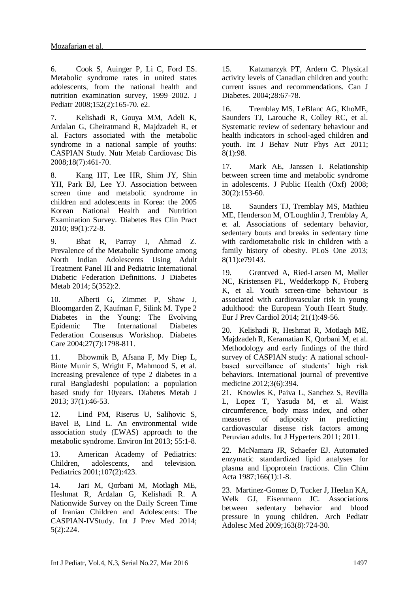6. Cook S, Auinger P, Li C, Ford ES. Metabolic syndrome rates in united states adolescents, from the national health and nutrition examination survey, 1999–2002. J Pediatr 2008;152(2):165-70. e2.

7. Kelishadi R, Gouya MM, Adeli K, Ardalan G, Gheiratmand R, Majdzadeh R, et al. Factors associated with the metabolic syndrome in a national sample of youths: CASPIAN Study. Nutr Metab Cardiovasc Dis 2008;18(7):461-70.

8. Kang HT, Lee HR, Shim JY, Shin YH, Park BJ, Lee YJ. Association between screen time and metabolic syndrome in children and adolescents in Korea: the 2005 Korean National Health and Nutrition Examination Survey. Diabetes Res Clin Pract 2010; 89(1):72-8.

9. Bhat R, Parray I, Ahmad Z. Prevalence of the Metabolic Syndrome among North Indian Adolescents Using Adult Treatment Panel III and Pediatric International Diabetic Federation Definitions. J Diabetes Metab 2014; 5(352):2.

10. Alberti G, Zimmet P, Shaw J, Bloomgarden Z, Kaufman F, Silink M. Type 2 Diabetes in the Young: The Evolving Epidemic The International Diabetes Federation Consensus Workshop. Diabetes Care 2004;27(7):1798-811.

11. Bhowmik B, Afsana F, My Diep L, Binte Munir S, Wright E, Mahmood S, et al. Increasing prevalence of type 2 diabetes in a rural Bangladeshi population: a population based study for 10years. Diabetes Metab J 2013; 37(1):46-53.

12. Lind PM, Riserus U, Salihovic S, Bavel B, Lind L. An environmental wide association study (EWAS) approach to the metabolic syndrome. Environ Int 2013; 55:1-8.

13. American Academy of Pediatrics: Children, adolescents, and television. Pediatrics 2001;107(2):423.

14. Jari M, Qorbani M, Motlagh ME, Heshmat R, Ardalan G, Kelishadi R. A Nationwide Survey on the Daily Screen Time of Iranian Children and Adolescents: The CASPIAN-IVStudy. Int J Prev Med 2014; 5(2):224.

15. Katzmarzyk PT, Ardern C. Physical activity levels of Canadian children and youth: current issues and recommendations. Can J Diabetes. 2004;28:67-78.

16. Tremblay MS, LeBlanc AG, KhoME, Saunders TJ, Larouche R, Colley RC, et al. Systematic review of sedentary behaviour and health indicators in school-aged children and youth. Int J Behav Nutr Phys Act 2011; 8(1):98.

17. Mark AE, Janssen I. Relationship between screen time and metabolic syndrome in adolescents. J Public Health (Oxf) 2008; 30(2):153-60.

18. Saunders TJ, Tremblay MS, Mathieu ME, Henderson M, O'Loughlin J, Tremblay A, et al. Associations of sedentary behavior, sedentary bouts and breaks in sedentary time with cardiometabolic risk in children with a family history of obesity. PLoS One 2013; 8(11):e79143.

19. Grøntved A, Ried-Larsen M, Møller NC, Kristensen PL, Wedderkopp N, Froberg K, et al. Youth screen-time behaviour is associated with cardiovascular risk in young adulthood: the European Youth Heart Study. Eur J Prev Cardiol 2014; 21(1):49-56.

20. Kelishadi R, Heshmat R, Motlagh ME, Majdzadeh R, Keramatian K, Qorbani M, et al. Methodology and early findings of the third survey of CASPIAN study: A national schoolbased surveillance of students' high risk behaviors. International journal of preventive medicine 2012;3(6):394.

21. Knowles K, Paiva L, Sanchez S, Revilla L, Lopez T, Yasuda M, et al. Waist circumference, body mass index, and other measures of adiposity in predicting cardiovascular disease risk factors among Peruvian adults. Int J Hypertens 2011; 2011.

22. McNamara JR, Schaefer EJ. Automated enzymatic standardized lipid analyses for plasma and lipoprotein fractions. Clin Chim Acta 1987;166(1):1-8.

23. Martinez-Gomez D, Tucker J, Heelan KA, Welk GJ, Eisenmann JC. Associations between sedentary behavior and blood pressure in young children. Arch Pediatr Adolesc Med 2009;163(8):724-30.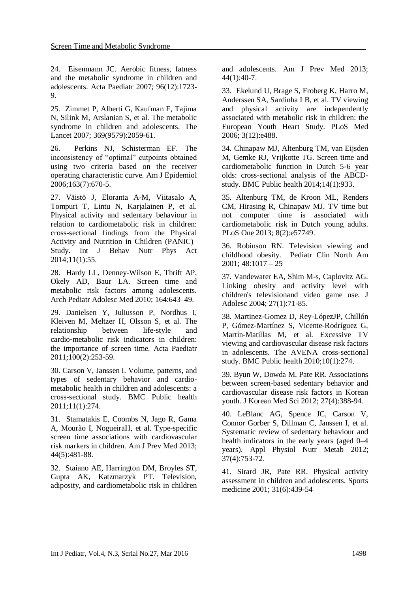24. Eisenmann JC. Aerobic fitness, fatness and the metabolic syndrome in children and adolescents. Acta Paediatr 2007; 96(12):1723- 9.

25. Zimmet P, Alberti G, Kaufman F, Tajima N, Silink M, Arslanian S, et al. The metabolic syndrome in children and adolescents. The Lancet 2007; 369(9579):2059-61.

26. Perkins NJ, Schisterman EF. The inconsistency of "optimal" cutpoints obtained using two criteria based on the receiver operating characteristic curve. Am J Epidemiol 2006;163(7):670-5.

27. Väistö J, Eloranta A-M, Viitasalo A, Tompuri T, Lintu N, Karjalainen P, et al. Physical activity and sedentary behaviour in relation to cardiometabolic risk in children: cross-sectional findings from the Physical Activity and Nutrition in Children (PANIC) Study. Int J Behav Nutr Phys Act 2014;11(1):55.

28. Hardy LL, Denney-Wilson E, Thrift AP, Okely AD, Baur LA. Screen time and metabolic risk factors among adolescents. Arch Pediatr Adolesc Med 2010; 164:643–49.

29. Danielsen Y, Juliusson P, Nordhus I, Kleiven M, Meltzer H, Olsson S, et al. The relationship between life‐style and cardio‐metabolic risk indicators in children: the importance of screen time. Acta Paediatr 2011;100(2):253-59.

30. Carson V, Janssen I. Volume, patterns, and types of sedentary behavior and cardiometabolic health in children and adolescents: a cross-sectional study. BMC Public health 2011;11(1):274.

31. Stamatakis E, Coombs N, Jago R, Gama A, Mourão I, NogueiraH, et al. Type-specific screen time associations with cardiovascular risk markers in children. Am J Prev Med 2013; 44(5):481-88.

32. Staiano AE, Harrington DM, Broyles ST, Gupta AK, Katzmarzyk PT. Television, adiposity, and cardiometabolic risk in children and adolescents. Am J Prev Med 2013; 44(1):40-7.

33. Ekelund U, Brage S, Froberg K, Harro M, Anderssen SA, Sardinha LB, et al. TV viewing and physical activity are independently associated with metabolic risk in children: the European Youth Heart Study. PLoS Med 2006; 3(12):e488.

34. Chinapaw MJ, Altenburg TM, van Eijsden M, Gemke RJ, Vrijkotte TG. Screen time and cardiometabolic function in Dutch 5-6 year olds: cross-sectional analysis of the ABCDstudy. BMC Public health 2014;14(1):933.

35. Altenburg TM, de Kroon ML, Renders CM, Hirasing R, Chinapaw MJ. TV time but not computer time is associated with cardiometabolic risk in Dutch young adults. PLoS One 2013; 8(2):e57749.

36. Robinson RN. Television viewing and childhood obesity. Pediatr Clin North Am  $2001$ : 48:1017 – 25

37. Vandewater EA, Shim M-s, Caplovitz AG. Linking obesity and activity level with children's televisionand video game use. J Adolesc 2004; 27(1):71-85.

38. Martinez-Gomez D, Rey-LópezJP, Chillón P, Gómez-Martínez S, Vicente-Rodríguez G, Martín-Matillas M, et al. Excessive TV viewing and cardiovascular disease risk factors in adolescents. The AVENA cross-sectional study. BMC Public health 2010;10(1):274.

39. Byun W, Dowda M, Pate RR. Associations between screen-based sedentary behavior and cardiovascular disease risk factors in Korean youth. J Korean Med Sci 2012; 27(4):388-94.

40. LeBlanc AG, Spence JC, Carson V, Connor Gorber S, Dillman C, Janssen I, et al. Systematic review of sedentary behaviour and health indicators in the early years (aged 0–4 years). Appl Physiol Nutr Metab 2012; 37(4):753-72.

41. Sirard JR, Pate RR. Physical activity assessment in children and adolescents. Sports medicine 2001; 31(6):439-54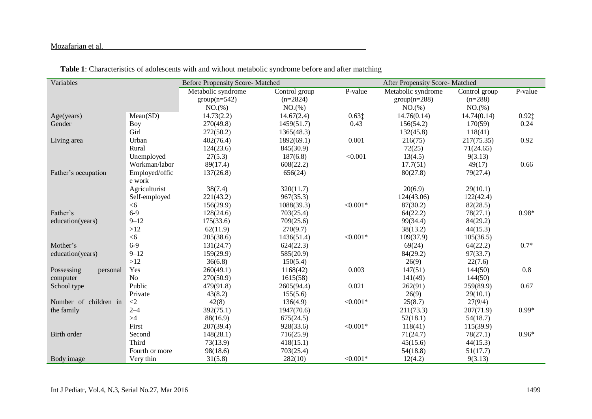#### Mozafarian et al.

| Variables              |                | <b>Before Propensity Score- Matched</b> |               |            | After Propensity Score- Matched |               |          |
|------------------------|----------------|-----------------------------------------|---------------|------------|---------------------------------|---------------|----------|
|                        |                | Metabolic syndrome                      | Control group | P-value    | Metabolic syndrome              | Control group | P-value  |
|                        |                | $group(n=542)$                          | $(n=2824)$    |            | $group(n=288)$                  | $(n=288)$     |          |
|                        |                | NO.(%)                                  | NO.(%)        |            | NO.(%)                          | NO.(%)        |          |
| Age(years)             | Mean(SD)       | 14.73(2.2)                              | 14.67(2.4)    | 0.631      | 14.76(0.14)                     | 14.74(0.14)   | $0.92$ ‡ |
| Gender                 | <b>Boy</b>     | 270(49.8)                               | 1459(51.7)    | 0.43       | 156(54.2)                       | 170(59)       | 0.24     |
|                        | Girl           | 272(50.2)                               | 1365(48.3)    |            | 132(45.8)                       | 118(41)       |          |
| Living area            | Urban          | 402(76.4)                               | 1892(69.1)    | 0.001      | 216(75)                         | 217(75.35)    | 0.92     |
|                        | Rural          | 124(23.6)                               | 845(30.9)     |            | 72(25)                          | 71(24.65)     |          |
|                        | Unemployed     | 27(5.3)                                 | 187(6.8)      | < 0.001    | 13(4.5)                         | 9(3.13)       |          |
|                        | Workman/labor  | 89(17.4)                                | 608(22.2)     |            | 17.7(51)                        | 49(17)        | 0.66     |
| Father's occupation    | Employed/offic | 137(26.8)                               | 656(24)       |            | 80(27.8)                        | 79(27.4)      |          |
|                        | e work         |                                         |               |            |                                 |               |          |
|                        | Agriculturist  | 38(7.4)                                 | 320(11.7)     |            | 20(6.9)                         | 29(10.1)      |          |
|                        | Self-employed  | 221(43.2)                               | 967(35.3)     |            | 124(43.06)                      | 122(42.4)     |          |
|                        | <6             | 156(29.9)                               | 1088(39.3)    | $< 0.001*$ | 87(30.2)                        | 82(28.5)      |          |
| Father's               | $6-9$          | 128(24.6)                               | 703(25.4)     |            | 64(22.2)                        | 78(27.1)      | $0.98*$  |
| education(years)       | $9 - 12$       | 175(33.6)                               | 709(25.6)     |            | 99(34.4)                        | 84(29.2)      |          |
|                        | >12            | 62(11.9)                                | 270(9.7)      |            | 38(13.2)                        | 44(15.3)      |          |
|                        | <6             | 205(38.6)                               | 1436(51.4)    | $< 0.001*$ | 109(37.9)                       | 105(36.5)     |          |
| Mother's               | $6-9$          | 131(24.7)                               | 624(22.3)     |            | 69(24)                          | 64(22.2)      | $0.7*$   |
| education(years)       | $9 - 12$       | 159(29.9)                               | 585(20.9)     |            | 84(29.2)                        | 97(33.7)      |          |
|                        | $>12$          | 36(6.8)                                 | 150(5.4)      |            | 26(9)                           | 22(7.6)       |          |
| Possessing<br>personal | Yes            | 260(49.1)                               | 1168(42)      | 0.003      | 147(51)                         | 144(50)       | $0.8\,$  |
| computer               | N <sub>o</sub> | 270(50.9)                               | 1615(58)      |            | 141(49)                         | 144(50)       |          |
| School type            | Public         | 479(91.8)                               | 2605(94.4)    | 0.021      | 262(91)                         | 259(89.9)     | 0.67     |
|                        | Private        | 43(8.2)                                 | 155(5.6)      |            | 26(9)                           | 29(10.1)      |          |
| Number of children in  | $\langle 2$    | 42(8)                                   | 136(4.9)      | $< 0.001*$ | 25(8.7)                         | 27(9/4)       |          |
| the family             | $2 - 4$        | 392(75.1)                               | 1947(70.6)    |            | 211(73.3)                       | 207(71.9)     | $0.99*$  |
|                        | $>\!\!4$       | 88(16.9)                                | 675(24.5)     |            | 52(18.1)                        | 54(18.7)      |          |
|                        | First          | 207(39.4)                               | 928(33.6)     | $< 0.001*$ | 118(41)                         | 115(39.9)     |          |
| Birth order            | Second         | 148(28.1)                               | 716(25.9)     |            | 71(24.7)                        | 78(27.1)      | $0.96*$  |
|                        | Third          | 73(13.9)                                | 418(15.1)     |            | 45(15.6)                        | 44(15.3)      |          |
|                        | Fourth or more | 98(18.6)                                | 703(25.4)     |            | 54(18.8)                        | 51(17.7)      |          |
| Body image             | Very thin      | 31(5.8)                                 | 282(10)       | $< 0.001*$ | 12(4.2)                         | 9(3.13)       |          |

 **Table 1**: Characteristics of adolescents with and without metabolic syndrome before and after matching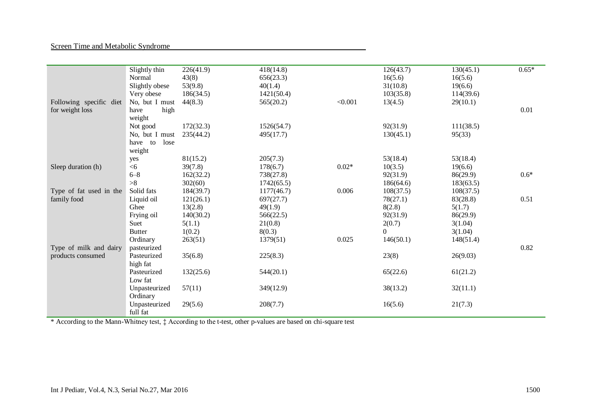#### Screen Time and Metabolic Syndrome

|                         | Slightly thin   | 226(41.9) | 418(14.8)  |         | 126(43.7) | 130(45.1) | $0.65*$ |
|-------------------------|-----------------|-----------|------------|---------|-----------|-----------|---------|
|                         | Normal          | 43(8)     | 656(23.3)  |         | 16(5.6)   | 16(5.6)   |         |
|                         | Slightly obese  | 53(9.8)   | 40(1.4)    |         | 31(10.8)  | 19(6.6)   |         |
|                         | Very obese      | 186(34.5) | 1421(50.4) |         | 103(35.8) | 114(39.6) |         |
| Following specific diet | No, but I must  | 44(8.3)   | 565(20.2)  | < 0.001 | 13(4.5)   | 29(10.1)  |         |
| for weight loss         | high<br>have    |           |            |         |           |           | 0.01    |
|                         | weight          |           |            |         |           |           |         |
|                         | Not good        | 172(32.3) | 1526(54.7) |         | 92(31.9)  | 111(38.5) |         |
|                         | No, but I must  | 235(44.2) | 495(17.7)  |         | 130(45.1) | 95(33)    |         |
|                         | have to<br>lose |           |            |         |           |           |         |
|                         | weight          |           |            |         |           |           |         |
|                         | yes             | 81(15.2)  | 205(7.3)   |         | 53(18.4)  | 53(18.4)  |         |
| Sleep duration (h)      | <6              | 39(7.8)   | 178(6.7)   | $0.02*$ | 10(3.5)   | 19(6.6)   |         |
|                         | $6 - 8$         | 162(32.2) | 738(27.8)  |         | 92(31.9)  | 86(29.9)  | $0.6*$  |
|                         | >8              | 302(60)   | 1742(65.5) |         | 186(64.6) | 183(63.5) |         |
| Type of fat used in the | Solid fats      | 184(39.7) | 1177(46.7) | 0.006   | 108(37.5) | 108(37.5) |         |
| family food             | Liquid oil      | 121(26.1) | 697(27.7)  |         | 78(27.1)  | 83(28.8)  | 0.51    |
|                         | Ghee            | 13(2.8)   | 49(1.9)    |         | 8(2.8)    | 5(1.7)    |         |
|                         | Frying oil      | 140(30.2) | 566(22.5)  |         | 92(31.9)  | 86(29.9)  |         |
|                         | Suet            | 5(1.1)    | 21(0.8)    |         | 2(0.7)    | 3(1.04)   |         |
|                         | <b>Butter</b>   | 1(0.2)    | 8(0.3)     |         | $\Omega$  | 3(1.04)   |         |
|                         | Ordinary        | 263(51)   | 1379(51)   | 0.025   | 146(50.1) | 148(51.4) |         |
| Type of milk and dairy  | pasteurized     |           |            |         |           |           | 0.82    |
| products consumed       | Pasteurized     | 35(6.8)   | 225(8.3)   |         | 23(8)     | 26(9.03)  |         |
|                         | high fat        |           |            |         |           |           |         |
|                         | Pasteurized     | 132(25.6) | 544(20.1)  |         | 65(22.6)  | 61(21.2)  |         |
|                         | Low fat         |           |            |         |           |           |         |
|                         | Unpasteurized   | 57(11)    | 349(12.9)  |         | 38(13.2)  | 32(11.1)  |         |
|                         | Ordinary        |           |            |         |           |           |         |
|                         | Unpasteurized   | 29(5.6)   | 208(7.7)   |         | 16(5.6)   | 21(7.3)   |         |
|                         | full fat        |           |            |         |           |           |         |

\* According to the Mann-Whitney test, ‡ According to the t-test, other p-values are based on chi-square test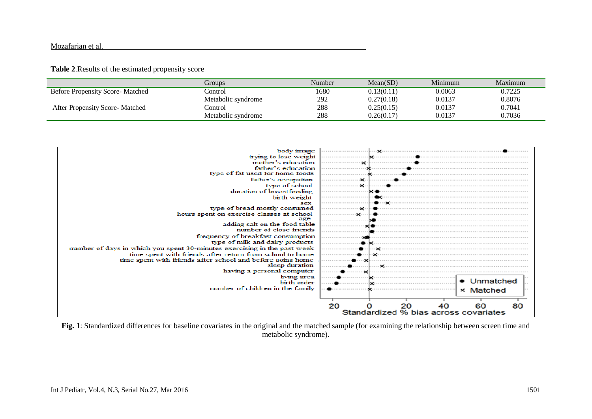#### Mozafarian et al.

#### **Table 2**.Results of the estimated propensity score

|                                        | Groups             | Number | Mean(SD)   | Minimum | Maximum |
|----------------------------------------|--------------------|--------|------------|---------|---------|
| <b>Before Propensity Score-Matched</b> | control.           | 1680   | 0.13(0.11) | 0.0063  | 0.7225  |
|                                        | Metabolic syndrome | 292    | 0.27(0.18) | 0.0137  | 0.8076  |
| After Propensity Score-Matched         | Control            | 288    | 0.25(0.15) | 0.0137  | 0.7041  |
|                                        | Metabolic syndrome | 288    | 0.26(0.17) | 0.0137  | 0.7036  |

| body image                                                               |                                       |  |  |  |
|--------------------------------------------------------------------------|---------------------------------------|--|--|--|
| trying to lose weight                                                    |                                       |  |  |  |
| mother's education                                                       |                                       |  |  |  |
| father's education                                                       |                                       |  |  |  |
| type of fat used tor home toods                                          |                                       |  |  |  |
| father's occupation                                                      |                                       |  |  |  |
| type of school                                                           |                                       |  |  |  |
| duration of breastfeeding                                                |                                       |  |  |  |
| birth weight                                                             |                                       |  |  |  |
| sex                                                                      |                                       |  |  |  |
| type of bread mostly consumed                                            |                                       |  |  |  |
| hours spent on exercise classes at school<br>age                         |                                       |  |  |  |
| adding salt on the food table                                            |                                       |  |  |  |
| number of close friends                                                  |                                       |  |  |  |
| frequency of breakfast consumption                                       |                                       |  |  |  |
| type of milk and dairy products                                          |                                       |  |  |  |
| number of days in which you spent 30-minutes exercising in the past week |                                       |  |  |  |
| time spent with friends after return from school to home                 |                                       |  |  |  |
| time spent with friends after school and before going home               |                                       |  |  |  |
| sleep duration                                                           |                                       |  |  |  |
| having a personal computer                                               |                                       |  |  |  |
| living area                                                              | . 1                                   |  |  |  |
| birth order                                                              | • Unmatched                           |  |  |  |
| number of children in the family                                         | × Matched                             |  |  |  |
|                                                                          |                                       |  |  |  |
|                                                                          |                                       |  |  |  |
|                                                                          | 20<br>80<br>20<br>40                  |  |  |  |
|                                                                          | Standardized % bias across covariates |  |  |  |

**Fig. 1**: Standardized differences for baseline covariates in the original and the matched sample (for examining the relationship between screen time and metabolic syndrome).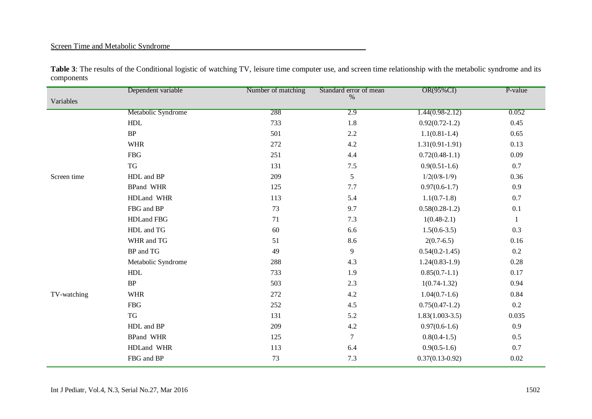# Screen Time and Metabolic Syndrome

|             | Dependent variable | Number of matching | Standard error of mean | OR(95%CI)          | P-value      |
|-------------|--------------------|--------------------|------------------------|--------------------|--------------|
| Variables   |                    |                    | $\%$                   |                    |              |
|             | Metabolic Syndrome | 288                | 2.9                    | $1.44(0.98-2.12)$  | 0.052        |
|             | ${\rm HDL}$        | 733                | 1.8                    | $0.92(0.72-1.2)$   | 0.45         |
|             | BP                 | 501                | $2.2\,$                | $1.1(0.81-1.4)$    | 0.65         |
|             | <b>WHR</b>         | 272                | $4.2\,$                | $1.31(0.91-1.91)$  | 0.13         |
|             | <b>FBG</b>         | 251                | 4.4                    | $0.72(0.48-1.1)$   | 0.09         |
|             | TG                 | 131                | $7.5\,$                | $0.9(0.51-1.6)$    | 0.7          |
| Screen time | HDL and BP         | 209                | 5                      | $1/2(0/8-1/9)$     | 0.36         |
|             | <b>BPand WHR</b>   | 125                | 7.7                    | $0.97(0.6-1.7)$    | 0.9          |
|             | HDLand WHR         | 113                | 5.4                    | $1.1(0.7-1.8)$     | 0.7          |
|             | FBG and BP         | 73                 | 9.7                    | $0.58(0.28-1.2)$   | 0.1          |
|             | HDLand FBG         | 71                 | 7.3                    | $1(0.48-2.1)$      | $\mathbf{1}$ |
|             | HDL and TG         | 60                 | 6.6                    | $1.5(0.6-3.5)$     | 0.3          |
|             | WHR and TG         | 51                 | 8.6                    | $2(0.7-6.5)$       | 0.16         |
|             | BP and TG          | 49                 | $\overline{9}$         | $0.54(0.2 - 1.45)$ | 0.2          |
|             | Metabolic Syndrome | 288                | 4.3                    | $1.24(0.83-1.9)$   | 0.28         |
|             | ${\rm HDL}$        | 733                | 1.9                    | $0.85(0.7-1.1)$    | 0.17         |
|             | BP                 | 503                | 2.3                    | $1(0.74-1.32)$     | 0.94         |
| TV-watching | <b>WHR</b>         | 272                | 4.2                    | $1.04(0.7-1.6)$    | 0.84         |
|             | <b>FBG</b>         | 252                | 4.5                    | $0.75(0.47-1.2)$   | 0.2          |
|             | TG                 | 131                | 5.2                    | $1.83(1.003-3.5)$  | 0.035        |
|             | HDL and BP         | 209                | $4.2\,$                | $0.97(0.6-1.6)$    | 0.9          |
|             | <b>BPand WHR</b>   | 125                | $\overline{7}$         | $0.8(0.4-1.5)$     | 0.5          |
|             | HDLand WHR         | 113                | 6.4                    | $0.9(0.5-1.6)$     | 0.7          |
|             | FBG and BP         | 73                 | 7.3                    | $0.37(0.13-0.92)$  | 0.02         |

Table 3: The results of the Conditional logistic of watching TV, leisure time computer use, and screen time relationship with the metabolic syndrome and its components